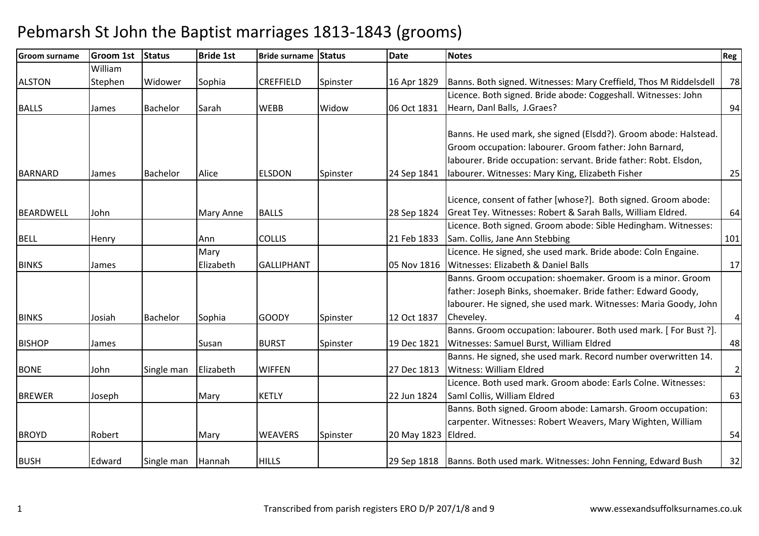| <b>Groom surname</b> | <b>Groom 1st</b> | <b>Status</b>   | <b>Bride 1st</b> | Bride surname Status |          | <b>Date</b>         | <b>Notes</b>                                                              | Reg            |
|----------------------|------------------|-----------------|------------------|----------------------|----------|---------------------|---------------------------------------------------------------------------|----------------|
|                      | William          |                 |                  |                      |          |                     |                                                                           |                |
| <b>ALSTON</b>        | Stephen          | Widower         | Sophia           | <b>CREFFIELD</b>     | Spinster | 16 Apr 1829         | Banns. Both signed. Witnesses: Mary Creffield, Thos M Riddelsdell         | 78             |
|                      |                  |                 |                  |                      |          |                     | Licence. Both signed. Bride abode: Coggeshall. Witnesses: John            |                |
| <b>BALLS</b>         | James            | <b>Bachelor</b> | Sarah            | <b>WEBB</b>          | Widow    | 06 Oct 1831         | Hearn, Danl Balls, J.Graes?                                               | 94             |
|                      |                  |                 |                  |                      |          |                     |                                                                           |                |
|                      |                  |                 |                  |                      |          |                     | Banns. He used mark, she signed (Elsdd?). Groom abode: Halstead.          |                |
|                      |                  |                 |                  |                      |          |                     | Groom occupation: labourer. Groom father: John Barnard,                   |                |
|                      |                  |                 |                  |                      |          |                     | labourer. Bride occupation: servant. Bride father: Robt. Elsdon,          |                |
| <b>BARNARD</b>       | James            | <b>Bachelor</b> | Alice            | <b>ELSDON</b>        | Spinster | 24 Sep 1841         | labourer. Witnesses: Mary King, Elizabeth Fisher                          | 25             |
|                      |                  |                 |                  |                      |          |                     | Licence, consent of father [whose?]. Both signed. Groom abode:            |                |
| BEARDWELL            | John             |                 | Mary Anne        | <b>BALLS</b>         |          | 28 Sep 1824         | Great Tey. Witnesses: Robert & Sarah Balls, William Eldred.               | 64             |
|                      |                  |                 |                  |                      |          |                     | Licence. Both signed. Groom abode: Sible Hedingham. Witnesses:            |                |
| <b>BELL</b>          | Henry            |                 | Ann              | <b>COLLIS</b>        |          | 21 Feb 1833         | Sam. Collis, Jane Ann Stebbing                                            | 101            |
|                      |                  |                 | Mary             |                      |          |                     | Licence. He signed, she used mark. Bride abode: Coln Engaine.             |                |
| <b>BINKS</b>         | James            |                 | Elizabeth        | <b>GALLIPHANT</b>    |          | 05 Nov 1816         | Witnesses: Elizabeth & Daniel Balls                                       | 17             |
|                      |                  |                 |                  |                      |          |                     | Banns. Groom occupation: shoemaker. Groom is a minor. Groom               |                |
|                      |                  |                 |                  |                      |          |                     | father: Joseph Binks, shoemaker. Bride father: Edward Goody,              |                |
|                      |                  |                 |                  |                      |          |                     | labourer. He signed, she used mark. Witnesses: Maria Goody, John          |                |
| <b>BINKS</b>         | Josiah           | <b>Bachelor</b> | Sophia           | <b>GOODY</b>         | Spinster | 12 Oct 1837         | Cheveley.                                                                 | $\overline{4}$ |
|                      |                  |                 |                  |                      |          |                     | Banns. Groom occupation: labourer. Both used mark. [For Bust ?].          |                |
| <b>BISHOP</b>        | James            |                 | Susan            | <b>BURST</b>         | Spinster | 19 Dec 1821         | Witnesses: Samuel Burst, William Eldred                                   | 48             |
|                      |                  |                 |                  |                      |          |                     | Banns. He signed, she used mark. Record number overwritten 14.            |                |
| <b>BONE</b>          | John             | Single man      | Elizabeth        | <b>WIFFEN</b>        |          | 27 Dec 1813         | <b>Witness: William Eldred</b>                                            | $\overline{2}$ |
|                      |                  |                 |                  |                      |          |                     | Licence. Both used mark. Groom abode: Earls Colne. Witnesses:             |                |
| <b>BREWER</b>        | Joseph           |                 | Mary             | <b>KETLY</b>         |          | 22 Jun 1824         | Saml Collis, William Eldred                                               | 63             |
|                      |                  |                 |                  |                      |          |                     | Banns. Both signed. Groom abode: Lamarsh. Groom occupation:               |                |
|                      |                  |                 |                  |                      |          |                     | carpenter. Witnesses: Robert Weavers, Mary Wighten, William               |                |
| <b>BROYD</b>         | Robert           |                 | Mary             | <b>WEAVERS</b>       | Spinster | 20 May 1823 Eldred. |                                                                           | 54             |
|                      |                  |                 |                  |                      |          |                     |                                                                           |                |
| <b>BUSH</b>          | Edward           | Single man      | Hannah           | <b>HILLS</b>         |          |                     | 29 Sep 1818   Banns. Both used mark. Witnesses: John Fenning, Edward Bush | 32             |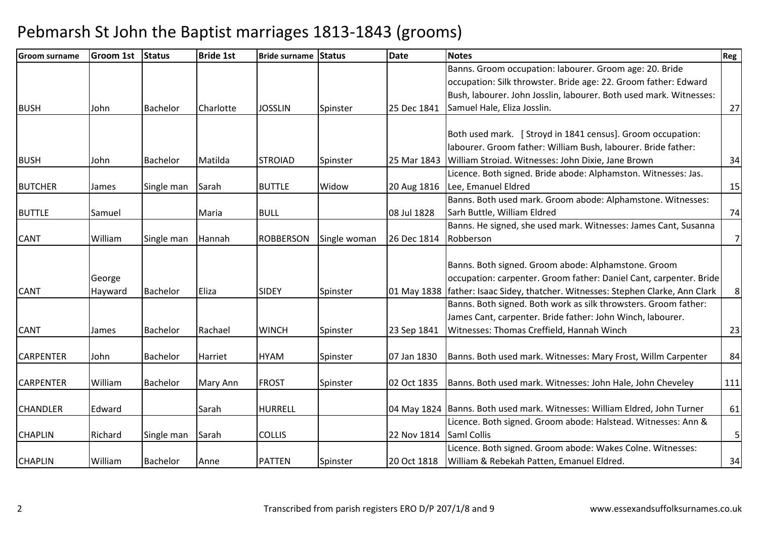| <b>Groom surname</b> | <b>Groom 1st</b> | <b>Status</b>   | <b>Bride 1st</b> | <b>Bride surname Status</b> |              | <b>Date</b> | <b>Notes</b>                                                              | Reg            |
|----------------------|------------------|-----------------|------------------|-----------------------------|--------------|-------------|---------------------------------------------------------------------------|----------------|
|                      |                  |                 |                  |                             |              |             | Banns. Groom occupation: labourer. Groom age: 20. Bride                   |                |
|                      |                  |                 |                  |                             |              |             | occupation: Silk throwster. Bride age: 22. Groom father: Edward           |                |
|                      |                  |                 |                  |                             |              |             | Bush, labourer. John Josslin, labourer. Both used mark. Witnesses:        |                |
| <b>BUSH</b>          | John             | Bachelor        | Charlotte        | <b>JOSSLIN</b>              | Spinster     | 25 Dec 1841 | Samuel Hale, Eliza Josslin.                                               | 27             |
|                      |                  |                 |                  |                             |              |             |                                                                           |                |
|                      |                  |                 |                  |                             |              |             | Both used mark. [ Stroyd in 1841 census]. Groom occupation:               |                |
|                      |                  |                 |                  |                             |              |             | labourer. Groom father: William Bush, labourer. Bride father:             |                |
| <b>BUSH</b>          | John             | Bachelor        | Matilda          | <b>STROIAD</b>              | Spinster     | 25 Mar 1843 | William Stroiad. Witnesses: John Dixie, Jane Brown                        | 34             |
|                      |                  |                 |                  |                             |              |             | Licence. Both signed. Bride abode: Alphamston. Witnesses: Jas.            |                |
| <b>BUTCHER</b>       | James            | Single man      | Sarah            | <b>BUTTLE</b>               | Widow        | 20 Aug 1816 | Lee, Emanuel Eldred                                                       | 15             |
|                      |                  |                 |                  |                             |              |             | Banns. Both used mark. Groom abode: Alphamstone. Witnesses:               |                |
| <b>BUTTLE</b>        | Samuel           |                 | Maria            | <b>BULL</b>                 |              | 08 Jul 1828 | Sarh Buttle, William Eldred                                               | 74             |
|                      |                  |                 |                  |                             |              |             | Banns. He signed, she used mark. Witnesses: James Cant, Susanna           |                |
| <b>CANT</b>          | William          | Single man      | Hannah           | <b>ROBBERSON</b>            | Single woman | 26 Dec 1814 | Robberson                                                                 | 7              |
|                      |                  |                 |                  |                             |              |             |                                                                           |                |
|                      |                  |                 |                  |                             |              |             | Banns. Both signed. Groom abode: Alphamstone. Groom                       |                |
|                      | George           |                 |                  |                             |              |             | occupation: carpenter. Groom father: Daniel Cant, carpenter. Bride        |                |
| <b>CANT</b>          | Hayward          | Bachelor        | Eliza            | <b>SIDEY</b>                | Spinster     | 01 May 1838 | father: Isaac Sidey, thatcher. Witnesses: Stephen Clarke, Ann Clark       | 8 <sup>1</sup> |
|                      |                  |                 |                  |                             |              |             | Banns. Both signed. Both work as silk throwsters. Groom father:           |                |
|                      |                  |                 |                  |                             |              |             | James Cant, carpenter. Bride father: John Winch, labourer.                |                |
| <b>CANT</b>          | James            | Bachelor        | Rachael          | <b>WINCH</b>                | Spinster     | 23 Sep 1841 | Witnesses: Thomas Creffield, Hannah Winch                                 | 23             |
|                      |                  |                 |                  |                             |              |             |                                                                           |                |
| <b>CARPENTER</b>     | John             | Bachelor        | Harriet          | <b>HYAM</b>                 | Spinster     | 07 Jan 1830 | Banns. Both used mark. Witnesses: Mary Frost, Willm Carpenter             | 84             |
|                      |                  |                 |                  |                             |              |             |                                                                           |                |
| <b>CARPENTER</b>     | William          | <b>Bachelor</b> | Mary Ann         | <b>FROST</b>                | Spinster     | 02 Oct 1835 | Banns. Both used mark. Witnesses: John Hale, John Cheveley                | 111            |
|                      |                  |                 |                  |                             |              |             |                                                                           |                |
| <b>CHANDLER</b>      | Edward           |                 | Sarah            | <b>HURRELL</b>              |              |             | 04 May 1824 Banns. Both used mark. Witnesses: William Eldred, John Turner | 61             |
|                      |                  |                 |                  |                             |              |             | Licence. Both signed. Groom abode: Halstead. Witnesses: Ann &             |                |
| <b>CHAPLIN</b>       | Richard          | Single man      | Sarah            | <b>COLLIS</b>               |              | 22 Nov 1814 | <b>Saml Collis</b>                                                        | $\sqrt{5}$     |
|                      |                  |                 |                  |                             |              |             | Licence. Both signed. Groom abode: Wakes Colne. Witnesses:                |                |
| <b>CHAPLIN</b>       | William          | <b>Bachelor</b> | Anne             | <b>PATTEN</b>               | Spinster     | 20 Oct 1818 | William & Rebekah Patten, Emanuel Eldred.                                 | 34             |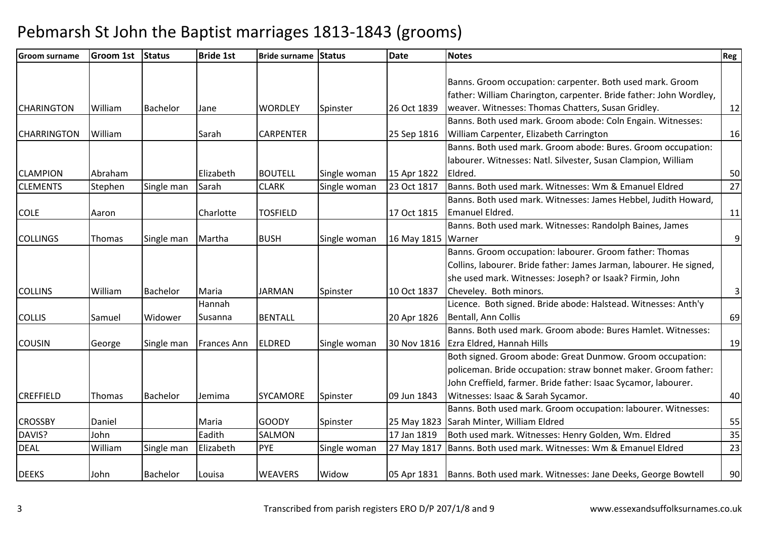| <b>Groom 1st</b> | <b>Status</b>   | <b>Bride 1st</b> |                  |                | <b>Date</b>                   | <b>Notes</b>                                                        | Reg                                                                                                                                                                                                                                                                         |
|------------------|-----------------|------------------|------------------|----------------|-------------------------------|---------------------------------------------------------------------|-----------------------------------------------------------------------------------------------------------------------------------------------------------------------------------------------------------------------------------------------------------------------------|
|                  |                 |                  |                  |                |                               |                                                                     |                                                                                                                                                                                                                                                                             |
|                  |                 |                  |                  |                |                               | Banns. Groom occupation: carpenter. Both used mark. Groom           |                                                                                                                                                                                                                                                                             |
|                  |                 |                  |                  |                |                               |                                                                     |                                                                                                                                                                                                                                                                             |
| William          | <b>Bachelor</b> | Jane             | <b>WORDLEY</b>   | Spinster       | 26 Oct 1839                   | weaver. Witnesses: Thomas Chatters, Susan Gridley.                  | 12                                                                                                                                                                                                                                                                          |
|                  |                 |                  |                  |                |                               | Banns. Both used mark. Groom abode: Coln Engain. Witnesses:         |                                                                                                                                                                                                                                                                             |
| William          |                 | Sarah            | <b>CARPENTER</b> |                | 25 Sep 1816                   | William Carpenter, Elizabeth Carrington                             | 16                                                                                                                                                                                                                                                                          |
|                  |                 |                  |                  |                |                               | Banns. Both used mark. Groom abode: Bures. Groom occupation:        |                                                                                                                                                                                                                                                                             |
|                  |                 |                  |                  |                |                               | labourer. Witnesses: Natl. Silvester, Susan Clampion, William       |                                                                                                                                                                                                                                                                             |
| Abraham          |                 | Elizabeth        | <b>BOUTELL</b>   | Single woman   | 15 Apr 1822                   | Eldred.                                                             | 50                                                                                                                                                                                                                                                                          |
| Stephen          | Single man      | Sarah            | <b>CLARK</b>     | Single woman   | 23 Oct 1817                   | Banns. Both used mark. Witnesses: Wm & Emanuel Eldred               | 27                                                                                                                                                                                                                                                                          |
|                  |                 |                  |                  |                |                               | Banns. Both used mark. Witnesses: James Hebbel, Judith Howard,      |                                                                                                                                                                                                                                                                             |
| Aaron            |                 | Charlotte        | <b>TOSFIELD</b>  |                | 17 Oct 1815                   | Emanuel Eldred.                                                     | 11                                                                                                                                                                                                                                                                          |
|                  |                 |                  |                  |                |                               | Banns. Both used mark. Witnesses: Randolph Baines, James            |                                                                                                                                                                                                                                                                             |
| Thomas           | Single man      | Martha           | <b>BUSH</b>      | Single woman   |                               |                                                                     | $\overline{9}$                                                                                                                                                                                                                                                              |
|                  |                 |                  |                  |                |                               | Banns. Groom occupation: labourer. Groom father: Thomas             |                                                                                                                                                                                                                                                                             |
|                  |                 |                  |                  |                |                               | Collins, labourer. Bride father: James Jarman, labourer. He signed, |                                                                                                                                                                                                                                                                             |
|                  |                 |                  |                  |                |                               | she used mark. Witnesses: Joseph? or Isaak? Firmin, John            |                                                                                                                                                                                                                                                                             |
| William          | Bachelor        | Maria            | <b>JARMAN</b>    | Spinster       | 10 Oct 1837                   | Cheveley. Both minors.                                              | $\overline{3}$                                                                                                                                                                                                                                                              |
|                  |                 | Hannah           |                  |                |                               | Licence. Both signed. Bride abode: Halstead. Witnesses: Anth'y      |                                                                                                                                                                                                                                                                             |
| Samuel           | Widower         | Susanna          | <b>BENTALL</b>   |                | 20 Apr 1826                   | Bentall, Ann Collis                                                 | 69                                                                                                                                                                                                                                                                          |
|                  |                 |                  |                  |                |                               | Banns. Both used mark. Groom abode: Bures Hamlet. Witnesses:        |                                                                                                                                                                                                                                                                             |
| George           | Single man      | Frances Ann      | <b>ELDRED</b>    | Single woman   | 30 Nov 1816                   | Ezra Eldred, Hannah Hills                                           | 19                                                                                                                                                                                                                                                                          |
|                  |                 |                  |                  |                |                               | Both signed. Groom abode: Great Dunmow. Groom occupation:           |                                                                                                                                                                                                                                                                             |
|                  |                 |                  |                  |                |                               | policeman. Bride occupation: straw bonnet maker. Groom father:      |                                                                                                                                                                                                                                                                             |
|                  |                 |                  |                  |                |                               | John Creffield, farmer. Bride father: Isaac Sycamor, labourer.      |                                                                                                                                                                                                                                                                             |
| Thomas           | Bachelor        | Jemima           | <b>SYCAMORE</b>  | Spinster       | 09 Jun 1843                   | Witnesses: Isaac & Sarah Sycamor.                                   | 40                                                                                                                                                                                                                                                                          |
|                  |                 |                  |                  |                |                               | Banns. Both used mark. Groom occupation: labourer. Witnesses:       |                                                                                                                                                                                                                                                                             |
| Daniel           |                 | Maria            | <b>GOODY</b>     | Spinster       |                               |                                                                     | 55                                                                                                                                                                                                                                                                          |
| John             |                 | Eadith           | <b>SALMON</b>    |                | 17 Jan 1819                   | Both used mark. Witnesses: Henry Golden, Wm. Eldred                 | 35                                                                                                                                                                                                                                                                          |
| William          | Single man      | Elizabeth        | PYE              | Single woman   | 27 May 1817                   |                                                                     | 23                                                                                                                                                                                                                                                                          |
|                  |                 |                  |                  |                |                               |                                                                     | 90                                                                                                                                                                                                                                                                          |
|                  | John            | <b>Bachelor</b>  | Louisa           | <b>WEAVERS</b> | Bride surname Status<br>Widow |                                                                     | father: William Charington, carpenter. Bride father: John Wordley,<br>16 May 1815 Warner<br>25 May 1823 Sarah Minter, William Eldred<br>Banns. Both used mark. Witnesses: Wm & Emanuel Eldred<br>05 Apr 1831   Banns. Both used mark. Witnesses: Jane Deeks, George Bowtell |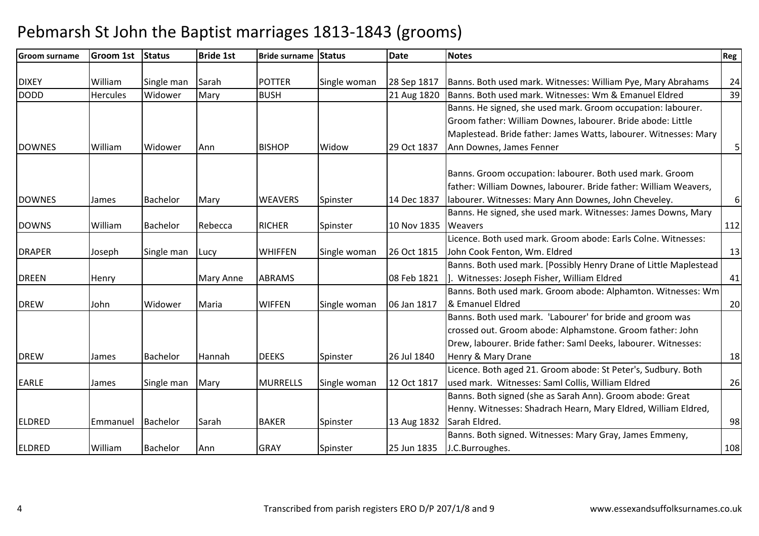| <b>Groom surname</b> | <b>Groom 1st</b> | <b>Status</b>   | <b>Bride 1st</b> | Bride surname Status |              | <b>Date</b> | <b>Notes</b>                                                      | Reg              |
|----------------------|------------------|-----------------|------------------|----------------------|--------------|-------------|-------------------------------------------------------------------|------------------|
|                      |                  |                 |                  |                      |              |             |                                                                   |                  |
| <b>DIXEY</b>         | William          | Single man      | Sarah            | <b>POTTER</b>        | Single woman | 28 Sep 1817 | Banns. Both used mark. Witnesses: William Pye, Mary Abrahams      | 24               |
| <b>DODD</b>          | <b>Hercules</b>  | Widower         | Mary             | <b>BUSH</b>          |              | 21 Aug 1820 | Banns. Both used mark. Witnesses: Wm & Emanuel Eldred             | 39               |
|                      |                  |                 |                  |                      |              |             | Banns. He signed, she used mark. Groom occupation: labourer.      |                  |
|                      |                  |                 |                  |                      |              |             | Groom father: William Downes, labourer. Bride abode: Little       |                  |
|                      |                  |                 |                  |                      |              |             | Maplestead. Bride father: James Watts, labourer. Witnesses: Mary  |                  |
| <b>DOWNES</b>        | William          | Widower         | Ann              | <b>BISHOP</b>        | Widow        | 29 Oct 1837 | Ann Downes, James Fenner                                          | $\overline{5}$   |
|                      |                  |                 |                  |                      |              |             |                                                                   |                  |
|                      |                  |                 |                  |                      |              |             | Banns. Groom occupation: labourer. Both used mark. Groom          |                  |
|                      |                  |                 |                  |                      |              |             | father: William Downes, labourer. Bride father: William Weavers,  |                  |
| <b>DOWNES</b>        | James            | <b>Bachelor</b> | Mary             | <b>WEAVERS</b>       | Spinster     | 14 Dec 1837 | labourer. Witnesses: Mary Ann Downes, John Cheveley.              | $\boldsymbol{6}$ |
|                      |                  |                 |                  |                      |              |             | Banns. He signed, she used mark. Witnesses: James Downs, Mary     |                  |
| <b>DOWNS</b>         | William          | <b>Bachelor</b> | Rebecca          | <b>RICHER</b>        | Spinster     | 10 Nov 1835 | <b>Weavers</b>                                                    | 112              |
|                      |                  |                 |                  |                      |              |             | Licence. Both used mark. Groom abode: Earls Colne. Witnesses:     |                  |
| <b>DRAPER</b>        | Joseph           | Single man      | Lucy             | <b>WHIFFEN</b>       | Single woman | 26 Oct 1815 | John Cook Fenton, Wm. Eldred                                      | 13               |
|                      |                  |                 |                  |                      |              |             | Banns. Both used mark. [Possibly Henry Drane of Little Maplestead |                  |
| <b>DREEN</b>         | Henry            |                 | Mary Anne        | <b>ABRAMS</b>        |              | 08 Feb 1821 | Witnesses: Joseph Fisher, William Eldred                          | 41               |
|                      |                  |                 |                  |                      |              |             | Banns. Both used mark. Groom abode: Alphamton. Witnesses: Wm      |                  |
| <b>DREW</b>          | John             | Widower         | Maria            | <b>WIFFEN</b>        | Single woman | 06 Jan 1817 | & Emanuel Eldred                                                  | 20               |
|                      |                  |                 |                  |                      |              |             | Banns. Both used mark. 'Labourer' for bride and groom was         |                  |
|                      |                  |                 |                  |                      |              |             | crossed out. Groom abode: Alphamstone. Groom father: John         |                  |
|                      |                  |                 |                  |                      |              |             | Drew, labourer. Bride father: Saml Deeks, labourer. Witnesses:    |                  |
| <b>DREW</b>          | James            | Bachelor        | Hannah           | <b>DEEKS</b>         | Spinster     | 26 Jul 1840 | Henry & Mary Drane                                                | 18               |
|                      |                  |                 |                  |                      |              |             | Licence. Both aged 21. Groom abode: St Peter's, Sudbury. Both     |                  |
| <b>EARLE</b>         | James            | Single man      | Mary             | <b>MURRELLS</b>      | Single woman | 12 Oct 1817 | used mark. Witnesses: Saml Collis, William Eldred                 | 26               |
|                      |                  |                 |                  |                      |              |             | Banns. Both signed (she as Sarah Ann). Groom abode: Great         |                  |
|                      |                  |                 |                  |                      |              |             | Henny. Witnesses: Shadrach Hearn, Mary Eldred, William Eldred,    |                  |
| <b>ELDRED</b>        | Emmanuel         | Bachelor        | Sarah            | <b>BAKER</b>         | Spinster     | 13 Aug 1832 | Sarah Eldred.                                                     | 98               |
|                      |                  |                 |                  |                      |              |             | Banns. Both signed. Witnesses: Mary Gray, James Emmeny,           |                  |
| <b>ELDRED</b>        | William          | Bachelor        | Ann              | <b>GRAY</b>          | Spinster     | 25 Jun 1835 | J.C.Burroughes.                                                   | 108              |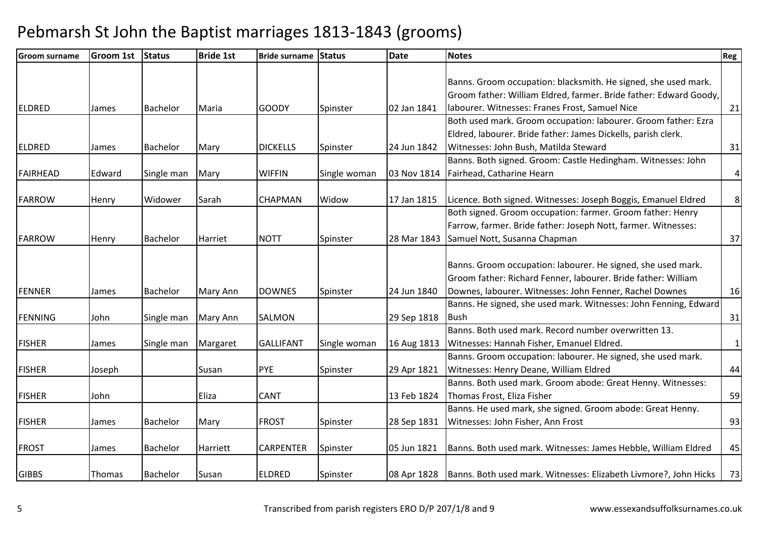| <b>Groom surname</b> | <b>Groom 1st</b> | <b>Status</b>   | <b>Bride 1st</b> | Bride surname Status |              | <b>Date</b> | <b>Notes</b>                                                                                                                        | Reg            |
|----------------------|------------------|-----------------|------------------|----------------------|--------------|-------------|-------------------------------------------------------------------------------------------------------------------------------------|----------------|
|                      |                  |                 |                  |                      |              |             | Banns. Groom occupation: blacksmith. He signed, she used mark.<br>Groom father: William Eldred, farmer. Bride father: Edward Goody, |                |
| <b>ELDRED</b>        | James            | <b>Bachelor</b> | Maria            | <b>GOODY</b>         | Spinster     | 02 Jan 1841 | labourer. Witnesses: Franes Frost, Samuel Nice                                                                                      | 21             |
|                      |                  |                 |                  |                      |              |             | Both used mark. Groom occupation: labourer. Groom father: Ezra                                                                      |                |
|                      |                  |                 |                  |                      |              |             | Eldred, labourer. Bride father: James Dickells, parish clerk.                                                                       |                |
| <b>ELDRED</b>        | James            | <b>Bachelor</b> | Mary             | <b>DICKELLS</b>      | Spinster     | 24 Jun 1842 | Witnesses: John Bush, Matilda Steward                                                                                               | 31             |
|                      |                  |                 |                  |                      |              |             | Banns. Both signed. Groom: Castle Hedingham. Witnesses: John                                                                        |                |
| <b>FAIRHEAD</b>      | Edward           | Single man      | Mary             | <b>WIFFIN</b>        | Single woman |             | 03 Nov 1814   Fairhead, Catharine Hearn                                                                                             | $\vert$        |
| <b>FARROW</b>        | Henry            | Widower         | Sarah            | <b>CHAPMAN</b>       | Widow        | 17 Jan 1815 | Licence. Both signed. Witnesses: Joseph Boggis, Emanuel Eldred                                                                      | 8 <sup>1</sup> |
|                      |                  |                 |                  |                      |              |             | Both signed. Groom occupation: farmer. Groom father: Henry<br>Farrow, farmer. Bride father: Joseph Nott, farmer. Witnesses:         |                |
| <b>FARROW</b>        | Henry            | <b>Bachelor</b> | Harriet          | <b>NOTT</b>          | Spinster     | 28 Mar 1843 | Samuel Nott, Susanna Chapman                                                                                                        | 37             |
|                      |                  |                 |                  |                      |              |             | Banns. Groom occupation: labourer. He signed, she used mark.<br>Groom father: Richard Fenner, labourer. Bride father: William       |                |
| <b>FENNER</b>        | James            | <b>Bachelor</b> | Mary Ann         | <b>DOWNES</b>        | Spinster     | 24 Jun 1840 | Downes, labourer. Witnesses: John Fenner, Rachel Downes                                                                             | 16             |
| <b>FENNING</b>       | John             | Single man      | Mary Ann         | <b>SALMON</b>        |              | 29 Sep 1818 | Banns. He signed, she used mark. Witnesses: John Fenning, Edward<br><b>Bush</b>                                                     | 31             |
| <b>FISHER</b>        | James            | Single man      | Margaret         | <b>GALLIFANT</b>     | Single woman | 16 Aug 1813 | Banns. Both used mark. Record number overwritten 13.<br>Witnesses: Hannah Fisher, Emanuel Eldred.                                   | $\vert$ 1      |
| <b>FISHER</b>        | Joseph           |                 | Susan            | <b>PYE</b>           | Spinster     | 29 Apr 1821 | Banns. Groom occupation: labourer. He signed, she used mark.<br>Witnesses: Henry Deane, William Eldred                              | 44             |
| <b>FISHER</b>        | John             |                 | Eliza            | <b>CANT</b>          |              | 13 Feb 1824 | Banns. Both used mark. Groom abode: Great Henny. Witnesses:<br>Thomas Frost, Eliza Fisher                                           | 59             |
| <b>FISHER</b>        | James            | <b>Bachelor</b> | Mary             | <b>FROST</b>         | Spinster     | 28 Sep 1831 | Banns. He used mark, she signed. Groom abode: Great Henny.<br>Witnesses: John Fisher, Ann Frost                                     | 93             |
| <b>FROST</b>         | James            | <b>Bachelor</b> | Harriett         | <b>CARPENTER</b>     | Spinster     | 05 Jun 1821 | Banns. Both used mark. Witnesses: James Hebble, William Eldred                                                                      | 45             |
| <b>GIBBS</b>         | Thomas           | <b>Bachelor</b> | Susan            | <b>ELDRED</b>        | Spinster     |             | 08 Apr 1828   Banns. Both used mark. Witnesses: Elizabeth Livmore?, John Hicks                                                      | 73             |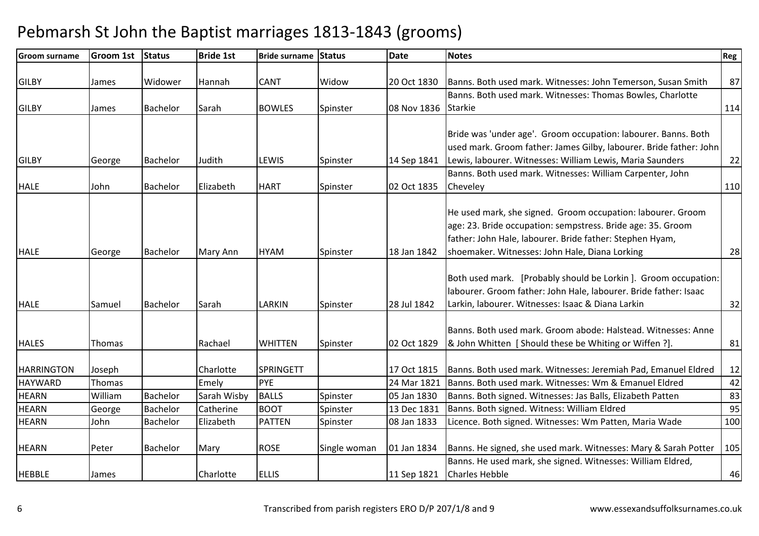| <b>Groom surname</b> | <b>Groom 1st</b> | Status          | <b>Bride 1st</b> | <b>Bride surname</b> | <b>Status</b> | <b>Date</b> | <b>Notes</b>                                                                                                                                                                                                                             | Reg |
|----------------------|------------------|-----------------|------------------|----------------------|---------------|-------------|------------------------------------------------------------------------------------------------------------------------------------------------------------------------------------------------------------------------------------------|-----|
| <b>GILBY</b>         | James            | Widower         | Hannah           | CANT                 | Widow         | 20 Oct 1830 | Banns. Both used mark. Witnesses: John Temerson, Susan Smith                                                                                                                                                                             | 87  |
|                      |                  |                 |                  |                      |               |             | Banns. Both used mark. Witnesses: Thomas Bowles, Charlotte                                                                                                                                                                               |     |
| <b>GILBY</b>         | James            | <b>Bachelor</b> | Sarah            | <b>BOWLES</b>        | Spinster      | 08 Nov 1836 | <b>Starkie</b>                                                                                                                                                                                                                           | 114 |
|                      |                  |                 |                  |                      |               |             | Bride was 'under age'. Groom occupation: labourer. Banns. Both<br>used mark. Groom father: James Gilby, labourer. Bride father: John                                                                                                     |     |
| <b>GILBY</b>         |                  | Bachelor        | Judith           | LEWIS                |               | 14 Sep 1841 | Lewis, labourer. Witnesses: William Lewis, Maria Saunders                                                                                                                                                                                |     |
|                      | George           |                 |                  |                      | Spinster      |             | Banns. Both used mark. Witnesses: William Carpenter, John                                                                                                                                                                                | 22  |
| <b>HALE</b>          | John             | Bachelor        | Elizabeth        | <b>HART</b>          | Spinster      | 02 Oct 1835 | Cheveley                                                                                                                                                                                                                                 | 110 |
| <b>HALE</b>          | George           | <b>Bachelor</b> | Mary Ann         | <b>HYAM</b>          | Spinster      | 18 Jan 1842 | He used mark, she signed. Groom occupation: labourer. Groom<br>age: 23. Bride occupation: sempstress. Bride age: 35. Groom<br>father: John Hale, labourer. Bride father: Stephen Hyam,<br>shoemaker. Witnesses: John Hale, Diana Lorking | 28  |
| <b>HALE</b>          | Samuel           | <b>Bachelor</b> | Sarah            | LARKIN               | Spinster      | 28 Jul 1842 | Both used mark. [Probably should be Lorkin]. Groom occupation:<br>labourer. Groom father: John Hale, labourer. Bride father: Isaac<br>Larkin, labourer. Witnesses: Isaac & Diana Larkin                                                  | 32  |
| <b>HALES</b>         | Thomas           |                 | Rachael          | <b>WHITTEN</b>       | Spinster      | 02 Oct 1829 | Banns. Both used mark. Groom abode: Halstead. Witnesses: Anne<br>8. John Whitten [ Should these be Whiting or Wiffen ?].                                                                                                                 | 81  |
| <b>HARRINGTON</b>    | Joseph           |                 | Charlotte        | <b>SPRINGETT</b>     |               | 17 Oct 1815 | Banns. Both used mark. Witnesses: Jeremiah Pad, Emanuel Eldred                                                                                                                                                                           | 12  |
| <b>HAYWARD</b>       | Thomas           |                 | Emely            | PYE                  |               | 24 Mar 1821 | Banns. Both used mark. Witnesses: Wm & Emanuel Eldred                                                                                                                                                                                    | 42  |
| <b>HEARN</b>         | William          | Bachelor        | Sarah Wisby      | <b>BALLS</b>         | Spinster      | 05 Jan 1830 | Banns. Both signed. Witnesses: Jas Balls, Elizabeth Patten                                                                                                                                                                               | 83  |
| <b>HEARN</b>         | George           | Bachelor        | Catherine        | <b>BOOT</b>          | Spinster      | 13 Dec 1831 | Banns. Both signed. Witness: William Eldred                                                                                                                                                                                              | 95  |
| <b>HEARN</b>         | John             | Bachelor        | Elizabeth        | <b>PATTEN</b>        | Spinster      | 08 Jan 1833 | Licence. Both signed. Witnesses: Wm Patten, Maria Wade                                                                                                                                                                                   | 100 |
| <b>HEARN</b>         | Peter            | <b>Bachelor</b> | Mary             | <b>ROSE</b>          | Single woman  | 01 Jan 1834 | Banns. He signed, she used mark. Witnesses: Mary & Sarah Potter                                                                                                                                                                          | 105 |
| <b>HEBBLE</b>        | James            |                 | Charlotte        | <b>ELLIS</b>         |               |             | Banns. He used mark, she signed. Witnesses: William Eldred,<br>11 Sep 1821 Charles Hebble                                                                                                                                                | 46  |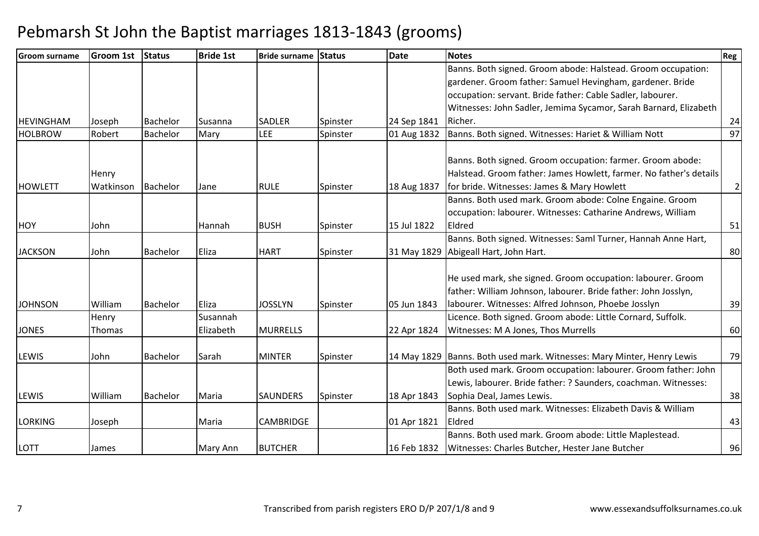| lGroom surname   | Groom 1st | <b>Status</b>   | <b>Bride 1st</b> | <b>Bride surname Status</b> |          | <b>Date</b> | <b>Notes</b>                                                           | Reg |
|------------------|-----------|-----------------|------------------|-----------------------------|----------|-------------|------------------------------------------------------------------------|-----|
|                  |           |                 |                  |                             |          |             | Banns. Both signed. Groom abode: Halstead. Groom occupation:           |     |
|                  |           |                 |                  |                             |          |             | gardener. Groom father: Samuel Hevingham, gardener. Bride              |     |
|                  |           |                 |                  |                             |          |             | occupation: servant. Bride father: Cable Sadler, labourer.             |     |
|                  |           |                 |                  |                             |          |             | Witnesses: John Sadler, Jemima Sycamor, Sarah Barnard, Elizabeth       |     |
| <b>HEVINGHAM</b> | Joseph    | Bachelor        | Susanna          | <b>SADLER</b>               | Spinster | 24 Sep 1841 | Richer.                                                                | 24  |
| <b>HOLBROW</b>   | Robert    | <b>Bachelor</b> | Mary             | LEE                         | Spinster | 01 Aug 1832 | Banns. Both signed. Witnesses: Hariet & William Nott                   | 97  |
|                  |           |                 |                  |                             |          |             | Banns. Both signed. Groom occupation: farmer. Groom abode:             |     |
|                  | Henry     |                 |                  |                             |          |             | Halstead. Groom father: James Howlett, farmer. No father's details     |     |
| <b>HOWLETT</b>   | Watkinson | Bachelor        | Jane             | <b>RULE</b>                 | Spinster | 18 Aug 1837 | for bride. Witnesses: James & Mary Howlett                             | 2   |
|                  |           |                 |                  |                             |          |             | Banns. Both used mark. Groom abode: Colne Engaine. Groom               |     |
|                  |           |                 |                  |                             |          |             | occupation: labourer. Witnesses: Catharine Andrews, William            |     |
| <b>HOY</b>       | John      |                 | Hannah           | <b>BUSH</b>                 | Spinster | 15 Jul 1822 | Eldred                                                                 | 51  |
|                  |           |                 |                  |                             |          |             | Banns. Both signed. Witnesses: Saml Turner, Hannah Anne Hart,          |     |
| <b>JACKSON</b>   | John      | <b>Bachelor</b> | Eliza            | <b>HART</b>                 | Spinster |             | 31 May 1829 Abigeall Hart, John Hart.                                  | 80  |
|                  |           |                 |                  |                             |          |             |                                                                        |     |
|                  |           |                 |                  |                             |          |             | He used mark, she signed. Groom occupation: labourer. Groom            |     |
|                  |           |                 |                  |                             |          |             | father: William Johnson, labourer. Bride father: John Josslyn,         |     |
| <b>JOHNSON</b>   | William   | <b>Bachelor</b> | Eliza            | <b>JOSSLYN</b>              | Spinster | 05 Jun 1843 | labourer. Witnesses: Alfred Johnson, Phoebe Josslyn                    | 39  |
|                  | Henry     |                 | Susannah         |                             |          |             | Licence. Both signed. Groom abode: Little Cornard, Suffolk.            |     |
| <b>JONES</b>     | Thomas    |                 | Elizabeth        | <b>MURRELLS</b>             |          | 22 Apr 1824 | Witnesses: M A Jones, Thos Murrells                                    | 60  |
|                  |           |                 |                  |                             |          |             |                                                                        |     |
| <b>LEWIS</b>     | John      | Bachelor        | Sarah            | <b>MINTER</b>               | Spinster |             | 14 May 1829 Banns. Both used mark. Witnesses: Mary Minter, Henry Lewis | 79  |
|                  |           |                 |                  |                             |          |             | Both used mark. Groom occupation: labourer. Groom father: John         |     |
|                  |           |                 |                  |                             |          |             | Lewis, labourer. Bride father: ? Saunders, coachman. Witnesses:        |     |
| <b>LEWIS</b>     | William   | <b>Bachelor</b> | Maria            | <b>SAUNDERS</b>             | Spinster | 18 Apr 1843 | Sophia Deal, James Lewis.                                              | 38  |
|                  |           |                 |                  |                             |          |             | Banns. Both used mark. Witnesses: Elizabeth Davis & William            |     |
| <b>LORKING</b>   | Joseph    |                 | Maria            | <b>CAMBRIDGE</b>            |          | 01 Apr 1821 | Eldred                                                                 | 43  |
|                  |           |                 |                  |                             |          |             | Banns. Both used mark. Groom abode: Little Maplestead.                 |     |
| <b>LOTT</b>      | James     |                 | Mary Ann         | <b>BUTCHER</b>              |          | 16 Feb 1832 | Witnesses: Charles Butcher, Hester Jane Butcher                        | 96  |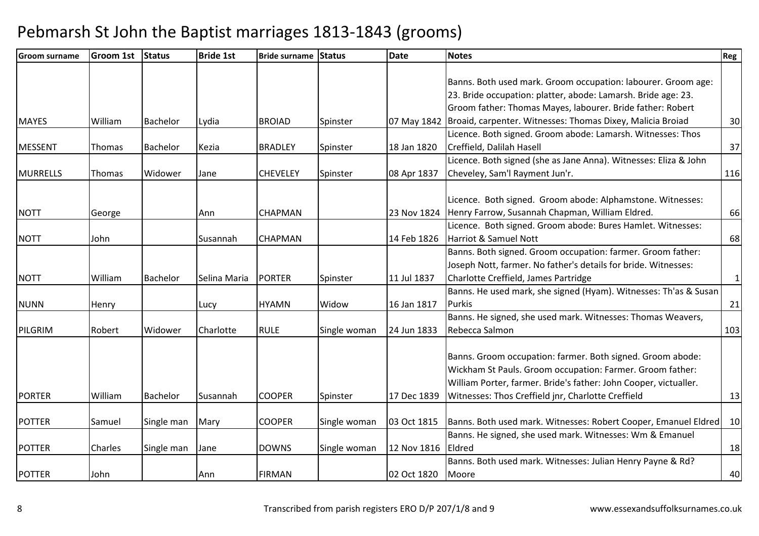| Banns. Both used mark. Groom occupation: labourer. Groom age:<br>23. Bride occupation: platter, abode: Lamarsh. Bride age: 23.<br>Groom father: Thomas Mayes, labourer. Bride father: Robert<br>Broaid, carpenter. Witnesses: Thomas Dixey, Malicia Broiad<br><b>MAYES</b><br>William<br><b>Bachelor</b><br><b>BROIAD</b><br>07 May 1842<br>Lydia<br>Spinster<br>Licence. Both signed. Groom abode: Lamarsh. Witnesses: Thos<br>Creffield, Dalilah Hasell<br><b>MESSENT</b><br><b>BRADLEY</b><br>18 Jan 1820<br><b>Bachelor</b><br>Kezia<br>Spinster<br>Thomas<br>Licence. Both signed (she as Jane Anna). Witnesses: Eliza & John<br>08 Apr 1837<br>Cheveley, Sam'l Rayment Jun'r.<br><b>MURRELLS</b><br>Widower<br><b>CHEVELEY</b><br>Thomas<br>Jane<br>Spinster<br>Licence. Both signed. Groom abode: Alphamstone. Witnesses: | Reg |
|----------------------------------------------------------------------------------------------------------------------------------------------------------------------------------------------------------------------------------------------------------------------------------------------------------------------------------------------------------------------------------------------------------------------------------------------------------------------------------------------------------------------------------------------------------------------------------------------------------------------------------------------------------------------------------------------------------------------------------------------------------------------------------------------------------------------------------|-----|
|                                                                                                                                                                                                                                                                                                                                                                                                                                                                                                                                                                                                                                                                                                                                                                                                                                  |     |
|                                                                                                                                                                                                                                                                                                                                                                                                                                                                                                                                                                                                                                                                                                                                                                                                                                  |     |
|                                                                                                                                                                                                                                                                                                                                                                                                                                                                                                                                                                                                                                                                                                                                                                                                                                  |     |
|                                                                                                                                                                                                                                                                                                                                                                                                                                                                                                                                                                                                                                                                                                                                                                                                                                  |     |
|                                                                                                                                                                                                                                                                                                                                                                                                                                                                                                                                                                                                                                                                                                                                                                                                                                  | 30  |
|                                                                                                                                                                                                                                                                                                                                                                                                                                                                                                                                                                                                                                                                                                                                                                                                                                  |     |
|                                                                                                                                                                                                                                                                                                                                                                                                                                                                                                                                                                                                                                                                                                                                                                                                                                  | 37  |
|                                                                                                                                                                                                                                                                                                                                                                                                                                                                                                                                                                                                                                                                                                                                                                                                                                  |     |
|                                                                                                                                                                                                                                                                                                                                                                                                                                                                                                                                                                                                                                                                                                                                                                                                                                  | 116 |
|                                                                                                                                                                                                                                                                                                                                                                                                                                                                                                                                                                                                                                                                                                                                                                                                                                  |     |
|                                                                                                                                                                                                                                                                                                                                                                                                                                                                                                                                                                                                                                                                                                                                                                                                                                  |     |
| Henry Farrow, Susannah Chapman, William Eldred.<br><b>NOTT</b><br><b>CHAPMAN</b><br>23 Nov 1824<br>Ann<br>George                                                                                                                                                                                                                                                                                                                                                                                                                                                                                                                                                                                                                                                                                                                 | 66  |
| Licence. Both signed. Groom abode: Bures Hamlet. Witnesses:                                                                                                                                                                                                                                                                                                                                                                                                                                                                                                                                                                                                                                                                                                                                                                      |     |
| Harriot & Samuel Nott<br><b>NOTT</b><br>14 Feb 1826<br>John<br>CHAPMAN<br>Susannah                                                                                                                                                                                                                                                                                                                                                                                                                                                                                                                                                                                                                                                                                                                                               | 68  |
| Banns. Both signed. Groom occupation: farmer. Groom father:                                                                                                                                                                                                                                                                                                                                                                                                                                                                                                                                                                                                                                                                                                                                                                      |     |
| Joseph Nott, farmer. No father's details for bride. Witnesses:                                                                                                                                                                                                                                                                                                                                                                                                                                                                                                                                                                                                                                                                                                                                                                   |     |
| Charlotte Creffield, James Partridge<br><b>NOTT</b><br>William<br><b>PORTER</b><br>11 Jul 1837<br><b>Bachelor</b><br>Selina Maria<br>Spinster                                                                                                                                                                                                                                                                                                                                                                                                                                                                                                                                                                                                                                                                                    | 1   |
| Banns. He used mark, she signed (Hyam). Witnesses: Th'as & Susan                                                                                                                                                                                                                                                                                                                                                                                                                                                                                                                                                                                                                                                                                                                                                                 |     |
| <b>HYAMN</b><br>Widow<br>16 Jan 1817<br>Purkis<br><b>NUNN</b><br>Henry<br>Lucy                                                                                                                                                                                                                                                                                                                                                                                                                                                                                                                                                                                                                                                                                                                                                   | 21  |
| Banns. He signed, she used mark. Witnesses: Thomas Weavers,                                                                                                                                                                                                                                                                                                                                                                                                                                                                                                                                                                                                                                                                                                                                                                      |     |
| Rebecca Salmon<br>PILGRIM<br>Robert<br>Widower<br>Charlotte<br><b>RULE</b><br>24 Jun 1833<br>Single woman                                                                                                                                                                                                                                                                                                                                                                                                                                                                                                                                                                                                                                                                                                                        | 103 |
|                                                                                                                                                                                                                                                                                                                                                                                                                                                                                                                                                                                                                                                                                                                                                                                                                                  |     |
| Banns. Groom occupation: farmer. Both signed. Groom abode:                                                                                                                                                                                                                                                                                                                                                                                                                                                                                                                                                                                                                                                                                                                                                                       |     |
| Wickham St Pauls. Groom occupation: Farmer. Groom father:                                                                                                                                                                                                                                                                                                                                                                                                                                                                                                                                                                                                                                                                                                                                                                        |     |
| William Porter, farmer. Bride's father: John Cooper, victualler.                                                                                                                                                                                                                                                                                                                                                                                                                                                                                                                                                                                                                                                                                                                                                                 |     |
| Witnesses: Thos Creffield jnr, Charlotte Creffield<br><b>PORTER</b><br><b>COOPER</b><br>William<br><b>Bachelor</b><br>17 Dec 1839<br>Susannah<br>Spinster                                                                                                                                                                                                                                                                                                                                                                                                                                                                                                                                                                                                                                                                        | 13  |
|                                                                                                                                                                                                                                                                                                                                                                                                                                                                                                                                                                                                                                                                                                                                                                                                                                  |     |
| Banns. Both used mark. Witnesses: Robert Cooper, Emanuel Eldred   10<br><b>POTTER</b><br><b>COOPER</b><br>03 Oct 1815<br>Samuel<br>Single man<br>Mary<br>Single woman                                                                                                                                                                                                                                                                                                                                                                                                                                                                                                                                                                                                                                                            |     |
| Banns. He signed, she used mark. Witnesses: Wm & Emanuel                                                                                                                                                                                                                                                                                                                                                                                                                                                                                                                                                                                                                                                                                                                                                                         |     |
| Eldred<br><b>DOWNS</b><br>12 Nov 1816<br><b>POTTER</b><br>Charles<br>Single man<br>Single woman<br>Jane                                                                                                                                                                                                                                                                                                                                                                                                                                                                                                                                                                                                                                                                                                                          | 18  |
| Banns. Both used mark. Witnesses: Julian Henry Payne & Rd?                                                                                                                                                                                                                                                                                                                                                                                                                                                                                                                                                                                                                                                                                                                                                                       |     |
| <b>POTTER</b><br><b>FIRMAN</b><br>02 Oct 1820<br>John<br>Moore<br>Ann                                                                                                                                                                                                                                                                                                                                                                                                                                                                                                                                                                                                                                                                                                                                                            | 40  |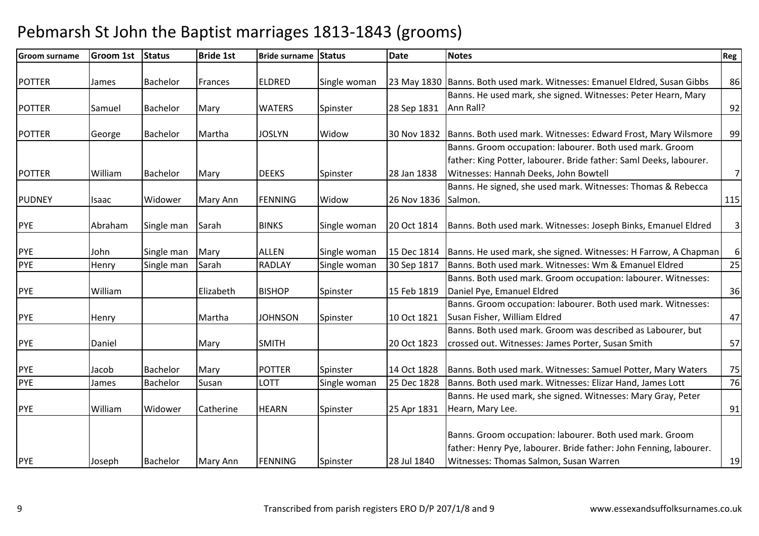| <b>Groom surname</b> | <b>Groom 1st</b>  | <b>Status</b>       | <b>Bride 1st</b>      | <b>Bride surname Status</b>    |                      | <b>Date</b>                | <b>Notes</b>                                                                                                                                                                                 | Reg              |
|----------------------|-------------------|---------------------|-----------------------|--------------------------------|----------------------|----------------------------|----------------------------------------------------------------------------------------------------------------------------------------------------------------------------------------------|------------------|
| <b>POTTER</b>        | James             | <b>Bachelor</b>     | Frances               | <b>ELDRED</b>                  | Single woman         |                            | 23 May 1830 Banns. Both used mark. Witnesses: Emanuel Eldred, Susan Gibbs                                                                                                                    | 86               |
| <b>POTTER</b>        | Samuel            | <b>Bachelor</b>     | Mary                  | <b>WATERS</b>                  | Spinster             | 28 Sep 1831                | Banns. He used mark, she signed. Witnesses: Peter Hearn, Mary<br>Ann Rall?                                                                                                                   | 92               |
| <b>POTTER</b>        | George            | <b>Bachelor</b>     | Martha                | <b>JOSLYN</b>                  | Widow                | 30 Nov 1832                | Banns. Both used mark. Witnesses: Edward Frost, Mary Wilsmore                                                                                                                                | 99               |
| <b>POTTER</b>        | William           | Bachelor            | Mary                  | <b>DEEKS</b>                   | Spinster             | 28 Jan 1838                | Banns. Groom occupation: labourer. Both used mark. Groom<br>father: King Potter, labourer. Bride father: Saml Deeks, labourer.<br>Witnesses: Hannah Deeks, John Bowtell                      | 7                |
| <b>PUDNEY</b>        | Isaac             | Widower             | Mary Ann              | <b>FENNING</b>                 | Widow                | 26 Nov 1836                | Banns. He signed, she used mark. Witnesses: Thomas & Rebecca<br>Salmon.                                                                                                                      | 115              |
| <b>PYE</b>           | Abraham           | Single man          | Sarah                 | <b>BINKS</b>                   | Single woman         | 20 Oct 1814                | Banns. Both used mark. Witnesses: Joseph Binks, Emanuel Eldred                                                                                                                               | 3 <sup>1</sup>   |
| <b>PYE</b>           | John              | Single man          | Mary                  | <b>ALLEN</b>                   | Single woman         | 15 Dec 1814                | Banns. He used mark, she signed. Witnesses: H Farrow, A Chapman                                                                                                                              | $6 \overline{6}$ |
| <b>PYE</b>           | Henry             | Single man          | Sarah                 | <b>RADLAY</b>                  | Single woman         | 30 Sep 1817                | Banns. Both used mark. Witnesses: Wm & Emanuel Eldred                                                                                                                                        | 25               |
| <b>PYE</b>           | William           |                     | Elizabeth             | <b>BISHOP</b>                  | Spinster             | 15 Feb 1819                | Banns. Both used mark. Groom occupation: labourer. Witnesses:<br>Daniel Pye, Emanuel Eldred                                                                                                  | 36               |
| <b>PYE</b>           | Henry             |                     | Martha                | <b>JOHNSON</b>                 | Spinster             | 10 Oct 1821                | Banns. Groom occupation: labourer. Both used mark. Witnesses:<br>Susan Fisher, William Eldred                                                                                                | 47               |
| <b>PYE</b>           | Daniel            |                     | Mary                  | <b>SMITH</b>                   |                      | 20 Oct 1823                | Banns. Both used mark. Groom was described as Labourer, but<br>crossed out. Witnesses: James Porter, Susan Smith                                                                             | 57               |
| <b>PYE</b>           | Jacob             | Bachelor            | Mary                  | <b>POTTER</b>                  | Spinster             | 14 Oct 1828                | Banns. Both used mark. Witnesses: Samuel Potter, Mary Waters                                                                                                                                 | 75               |
| <b>PYE</b>           | James             | Bachelor            | Susan                 | LOTT                           | Single woman         | 25 Dec 1828                | Banns. Both used mark. Witnesses: Elizar Hand, James Lott                                                                                                                                    | 76               |
|                      |                   |                     |                       |                                |                      |                            | Banns. He used mark, she signed. Witnesses: Mary Gray, Peter                                                                                                                                 |                  |
| <b>PYE</b><br>PYE    | William<br>Joseph | Widower<br>Bachelor | Catherine<br>Mary Ann | <b>HEARN</b><br><b>FENNING</b> | Spinster<br>Spinster | 25 Apr 1831<br>28 Jul 1840 | Hearn, Mary Lee.<br>Banns. Groom occupation: labourer. Both used mark. Groom<br>father: Henry Pye, labourer. Bride father: John Fenning, labourer.<br>Witnesses: Thomas Salmon, Susan Warren | 91<br>19         |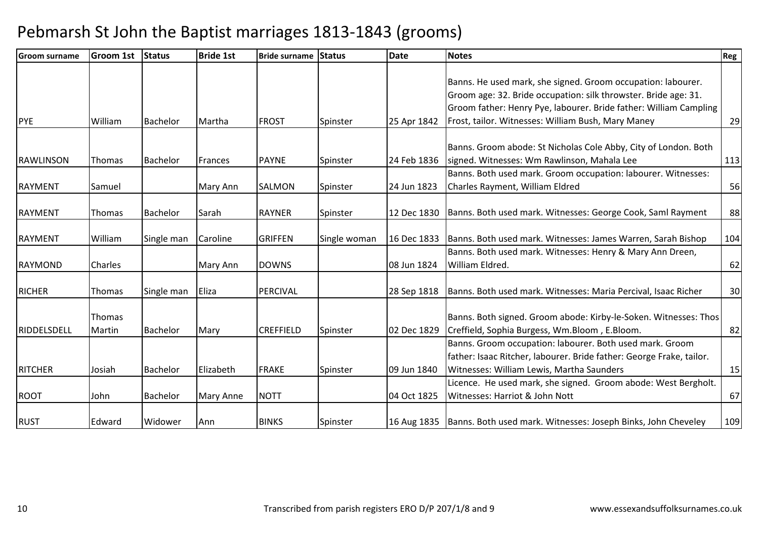| <b>Groom surname</b> | <b>Groom 1st</b> | Status          | <b>Bride 1st</b> | <b>Bride surname Status</b> |              | <b>Date</b> | <b>Notes</b>                                                                | Reg |
|----------------------|------------------|-----------------|------------------|-----------------------------|--------------|-------------|-----------------------------------------------------------------------------|-----|
|                      |                  |                 |                  |                             |              |             |                                                                             |     |
|                      |                  |                 |                  |                             |              |             | Banns. He used mark, she signed. Groom occupation: labourer.                |     |
|                      |                  |                 |                  |                             |              |             | Groom age: 32. Bride occupation: silk throwster. Bride age: 31.             |     |
|                      |                  |                 |                  |                             |              |             | Groom father: Henry Pye, labourer. Bride father: William Campling           |     |
| <b>PYE</b>           | William          | <b>Bachelor</b> | Martha           | <b>FROST</b>                | Spinster     | 25 Apr 1842 | Frost, tailor. Witnesses: William Bush, Mary Maney                          | 29  |
|                      |                  |                 |                  |                             |              |             |                                                                             |     |
|                      |                  |                 |                  |                             |              |             | Banns. Groom abode: St Nicholas Cole Abby, City of London. Both             |     |
| <b>RAWLINSON</b>     | Thomas           | <b>Bachelor</b> | <b>Frances</b>   | <b>PAYNE</b>                | Spinster     | 24 Feb 1836 | signed. Witnesses: Wm Rawlinson, Mahala Lee                                 | 113 |
|                      |                  |                 |                  |                             |              |             | Banns. Both used mark. Groom occupation: labourer. Witnesses:               |     |
| <b>RAYMENT</b>       | Samuel           |                 | Mary Ann         | <b>SALMON</b>               | Spinster     | 24 Jun 1823 | Charles Rayment, William Eldred                                             | 56  |
|                      |                  |                 |                  |                             |              |             |                                                                             |     |
| <b>RAYMENT</b>       | Thomas           | Bachelor        | Sarah            | <b>RAYNER</b>               | Spinster     | 12 Dec 1830 | Banns. Both used mark. Witnesses: George Cook, Saml Rayment                 | 88  |
|                      |                  |                 |                  |                             |              |             |                                                                             |     |
| <b>RAYMENT</b>       | William          | Single man      | Caroline         | <b>GRIFFEN</b>              | Single woman | 16 Dec 1833 | Banns. Both used mark. Witnesses: James Warren, Sarah Bishop                | 104 |
|                      |                  |                 |                  |                             |              |             | Banns. Both used mark. Witnesses: Henry & Mary Ann Dreen,                   |     |
| RAYMOND              | <b>Charles</b>   |                 | Mary Ann         | <b>DOWNS</b>                |              | 08 Jun 1824 | William Eldred.                                                             | 62  |
|                      |                  |                 |                  |                             |              |             |                                                                             |     |
| <b>RICHER</b>        | Thomas           | Single man      | Eliza            | <b>PERCIVAL</b>             |              | 28 Sep 1818 | Banns. Both used mark. Witnesses: Maria Percival, Isaac Richer              | 30  |
|                      |                  |                 |                  |                             |              |             |                                                                             |     |
|                      | Thomas           |                 |                  |                             |              |             | Banns. Both signed. Groom abode: Kirby-le-Soken. Witnesses: Thos            |     |
| RIDDELSDELL          | Martin           | <b>Bachelor</b> | Mary             | <b>CREFFIELD</b>            | Spinster     | 02 Dec 1829 | Creffield, Sophia Burgess, Wm.Bloom, E.Bloom.                               | 82  |
|                      |                  |                 |                  |                             |              |             | Banns. Groom occupation: labourer. Both used mark. Groom                    |     |
|                      |                  |                 |                  |                             |              |             | father: Isaac Ritcher, labourer. Bride father: George Frake, tailor.        |     |
| <b>RITCHER</b>       | Josiah           | <b>Bachelor</b> | Elizabeth        | <b>FRAKE</b>                | Spinster     | 09 Jun 1840 | Witnesses: William Lewis, Martha Saunders                                   | 15  |
|                      |                  |                 |                  |                             |              |             | Licence. He used mark, she signed. Groom abode: West Bergholt.              |     |
| ROOT                 | John             | <b>Bachelor</b> | Mary Anne        | <b>NOTT</b>                 |              | 04 Oct 1825 | Witnesses: Harriot & John Nott                                              | 67  |
| <b>RUST</b>          | Edward           | Widower         | Ann              | <b>BINKS</b>                | Spinster     |             | 16 Aug 1835   Banns. Both used mark. Witnesses: Joseph Binks, John Cheveley | 109 |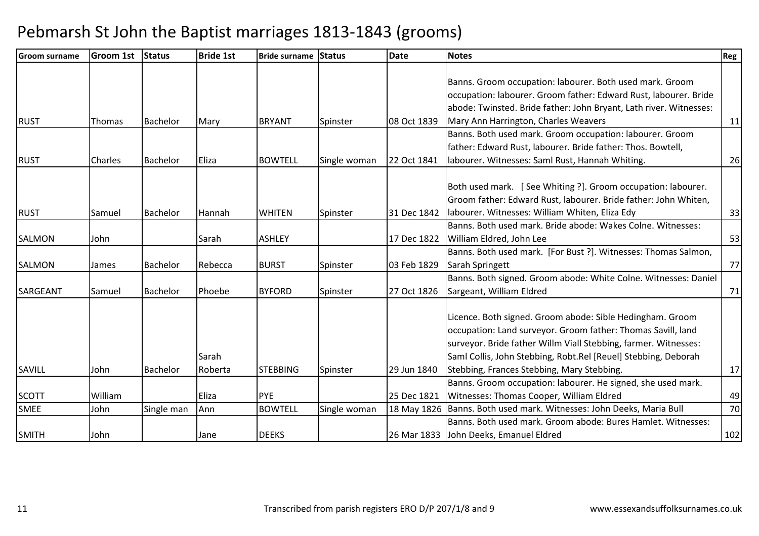| <b>Groom surname</b> | <b>Groom 1st</b> | <b>Status</b>   | <b>Bride 1st</b> | <b>Bride surname Status</b> |              | <b>Date</b> | <b>Notes</b>                                                           | Reg |
|----------------------|------------------|-----------------|------------------|-----------------------------|--------------|-------------|------------------------------------------------------------------------|-----|
|                      |                  |                 |                  |                             |              |             |                                                                        |     |
|                      |                  |                 |                  |                             |              |             | Banns. Groom occupation: labourer. Both used mark. Groom               |     |
|                      |                  |                 |                  |                             |              |             | occupation: labourer. Groom father: Edward Rust, labourer. Bride       |     |
|                      |                  |                 |                  |                             |              |             | abode: Twinsted. Bride father: John Bryant, Lath river. Witnesses:     |     |
| <b>RUST</b>          | Thomas           | <b>Bachelor</b> | Mary             | <b>BRYANT</b>               | Spinster     | 08 Oct 1839 | Mary Ann Harrington, Charles Weavers                                   | 11  |
|                      |                  |                 |                  |                             |              |             | Banns. Both used mark. Groom occupation: labourer. Groom               |     |
|                      |                  |                 |                  |                             |              |             | father: Edward Rust, labourer. Bride father: Thos. Bowtell,            |     |
| <b>RUST</b>          | <b>Charles</b>   | <b>Bachelor</b> | Eliza            | <b>BOWTELL</b>              | Single woman | 22 Oct 1841 | labourer. Witnesses: Saml Rust, Hannah Whiting.                        | 26  |
|                      |                  |                 |                  |                             |              |             |                                                                        |     |
|                      |                  |                 |                  |                             |              |             | Both used mark. [See Whiting ?]. Groom occupation: labourer.           |     |
|                      |                  |                 |                  |                             |              |             | Groom father: Edward Rust, labourer. Bride father: John Whiten,        |     |
| <b>RUST</b>          | Samuel           | <b>Bachelor</b> | Hannah           | <b>WHITEN</b>               | Spinster     | 31 Dec 1842 | labourer. Witnesses: William Whiten, Eliza Edy                         | 33  |
|                      |                  |                 |                  |                             |              |             | Banns. Both used mark. Bride abode: Wakes Colne. Witnesses:            |     |
| <b>SALMON</b>        | John             |                 | Sarah            | <b>ASHLEY</b>               |              | 17 Dec 1822 | William Eldred, John Lee                                               | 53  |
|                      |                  |                 |                  |                             |              |             | Banns. Both used mark. [For Bust ?]. Witnesses: Thomas Salmon,         |     |
| <b>SALMON</b>        | James            | Bachelor        | Rebecca          | <b>BURST</b>                | Spinster     | 03 Feb 1829 | Sarah Springett                                                        | 77  |
|                      |                  |                 |                  |                             |              |             | Banns. Both signed. Groom abode: White Colne. Witnesses: Daniel        |     |
| SARGEANT             | Samuel           | <b>Bachelor</b> | Phoebe           | <b>BYFORD</b>               | Spinster     | 27 Oct 1826 | Sargeant, William Eldred                                               | 71  |
|                      |                  |                 |                  |                             |              |             |                                                                        |     |
|                      |                  |                 |                  |                             |              |             | Licence. Both signed. Groom abode: Sible Hedingham. Groom              |     |
|                      |                  |                 |                  |                             |              |             | occupation: Land surveyor. Groom father: Thomas Savill, land           |     |
|                      |                  |                 |                  |                             |              |             | surveyor. Bride father Willm Viall Stebbing, farmer. Witnesses:        |     |
|                      |                  |                 | Sarah            |                             |              |             | Saml Collis, John Stebbing, Robt.Rel [Reuel] Stebbing, Deborah         |     |
| SAVILL               | John             | Bachelor        | Roberta          | <b>STEBBING</b>             | Spinster     | 29 Jun 1840 | Stebbing, Frances Stebbing, Mary Stebbing.                             | 17  |
|                      |                  |                 |                  |                             |              |             | Banns. Groom occupation: labourer. He signed, she used mark.           |     |
| <b>SCOTT</b>         | William          |                 | Eliza            | <b>PYE</b>                  |              | 25 Dec 1821 | Witnesses: Thomas Cooper, William Eldred                               | 49  |
| <b>SMEE</b>          | John             | Single man      | Ann              | <b>BOWTELL</b>              | Single woman |             | 18 May 1826   Banns. Both used mark. Witnesses: John Deeks, Maria Bull | 70  |
|                      |                  |                 |                  |                             |              |             | Banns. Both used mark. Groom abode: Bures Hamlet. Witnesses:           |     |
| <b>SMITH</b>         | John             |                 | Jane             | <b>DEEKS</b>                |              |             | 26 Mar 1833 John Deeks, Emanuel Eldred                                 | 102 |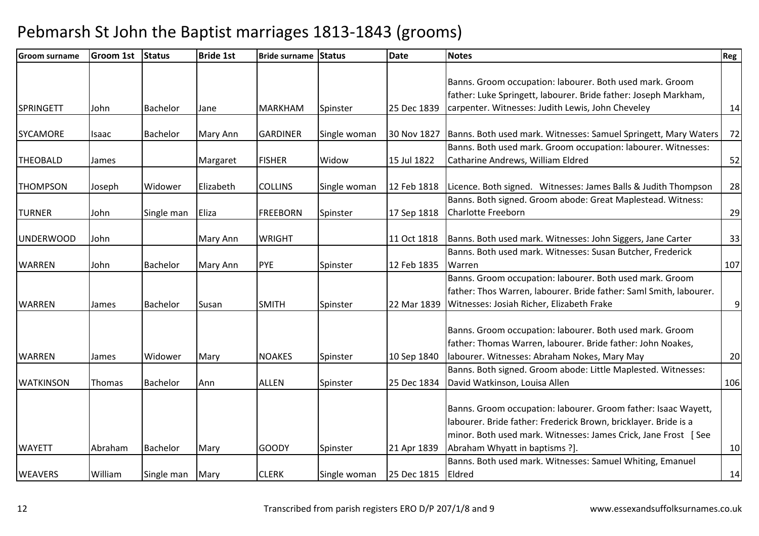| <b>Groom surname</b> | <b>Groom 1st</b> | Status          | <b>Bride 1st</b> | Bride surname Status |              | <b>Date</b> | <b>Notes</b>                                                       | Reg            |
|----------------------|------------------|-----------------|------------------|----------------------|--------------|-------------|--------------------------------------------------------------------|----------------|
|                      |                  |                 |                  |                      |              |             |                                                                    |                |
|                      |                  |                 |                  |                      |              |             | Banns. Groom occupation: labourer. Both used mark. Groom           |                |
|                      |                  |                 |                  |                      |              |             | father: Luke Springett, labourer. Bride father: Joseph Markham,    |                |
| <b>SPRINGETT</b>     | John             | <b>Bachelor</b> | Jane             | <b>MARKHAM</b>       | Spinster     | 25 Dec 1839 | carpenter. Witnesses: Judith Lewis, John Cheveley                  | 14             |
| <b>SYCAMORE</b>      | Isaac            | <b>Bachelor</b> | Mary Ann         | <b>GARDINER</b>      | Single woman | 30 Nov 1827 | Banns. Both used mark. Witnesses: Samuel Springett, Mary Waters    | 72             |
|                      |                  |                 |                  |                      |              |             | Banns. Both used mark. Groom occupation: labourer. Witnesses:      |                |
| <b>THEOBALD</b>      | James            |                 | Margaret         | <b>FISHER</b>        | Widow        | 15 Jul 1822 | Catharine Andrews, William Eldred                                  | 52             |
|                      |                  |                 |                  |                      |              |             |                                                                    |                |
| <b>THOMPSON</b>      | Joseph           | Widower         | Elizabeth        | <b>COLLINS</b>       | Single woman | 12 Feb 1818 | Licence. Both signed. Witnesses: James Balls & Judith Thompson     | 28             |
|                      |                  |                 |                  |                      |              |             | Banns. Both signed. Groom abode: Great Maplestead. Witness:        |                |
| <b>TURNER</b>        | John             | Single man      | Eliza            | <b>FREEBORN</b>      | Spinster     | 17 Sep 1818 | <b>Charlotte Freeborn</b>                                          | 29             |
| <b>UNDERWOOD</b>     | John             |                 | Mary Ann         | <b>WRIGHT</b>        |              | 11 Oct 1818 | Banns. Both used mark. Witnesses: John Siggers, Jane Carter        | 33             |
|                      |                  |                 |                  |                      |              |             | Banns. Both used mark. Witnesses: Susan Butcher, Frederick         |                |
| <b>WARREN</b>        | John             | <b>Bachelor</b> | Mary Ann         | <b>PYE</b>           | Spinster     | 12 Feb 1835 | Warren                                                             | 107            |
|                      |                  |                 |                  |                      |              |             | Banns. Groom occupation: labourer. Both used mark. Groom           |                |
|                      |                  |                 |                  |                      |              |             | father: Thos Warren, labourer. Bride father: Saml Smith, labourer. |                |
| <b>WARREN</b>        | James            | <b>Bachelor</b> | Susan            | <b>SMITH</b>         | Spinster     | 22 Mar 1839 | Witnesses: Josiah Richer, Elizabeth Frake                          | $\overline{9}$ |
|                      |                  |                 |                  |                      |              |             |                                                                    |                |
|                      |                  |                 |                  |                      |              |             | Banns. Groom occupation: labourer. Both used mark. Groom           |                |
|                      |                  |                 |                  |                      |              |             | father: Thomas Warren, labourer. Bride father: John Noakes,        |                |
| <b>WARREN</b>        | James            | Widower         | Mary             | <b>NOAKES</b>        | Spinster     | 10 Sep 1840 | labourer. Witnesses: Abraham Nokes, Mary May                       | 20             |
|                      |                  |                 |                  |                      |              |             | Banns. Both signed. Groom abode: Little Maplested. Witnesses:      |                |
| <b>WATKINSON</b>     | Thomas           | <b>Bachelor</b> | Ann              | <b>ALLEN</b>         | Spinster     | 25 Dec 1834 | David Watkinson, Louisa Allen                                      | 106            |
|                      |                  |                 |                  |                      |              |             |                                                                    |                |
|                      |                  |                 |                  |                      |              |             | Banns. Groom occupation: labourer. Groom father: Isaac Wayett,     |                |
|                      |                  |                 |                  |                      |              |             | labourer. Bride father: Frederick Brown, bricklayer. Bride is a    |                |
|                      |                  |                 |                  |                      |              |             | minor. Both used mark. Witnesses: James Crick, Jane Frost [See     |                |
| <b>WAYETT</b>        | Abraham          | Bachelor        | Mary             | <b>GOODY</b>         | Spinster     | 21 Apr 1839 | Abraham Whyatt in baptisms ?].                                     | 10             |
|                      |                  |                 |                  |                      |              |             | Banns. Both used mark. Witnesses: Samuel Whiting, Emanuel          |                |
| <b>WEAVERS</b>       | William          | Single man      | Mary             | <b>CLERK</b>         | Single woman | 25 Dec 1815 | Eldred                                                             | 14             |